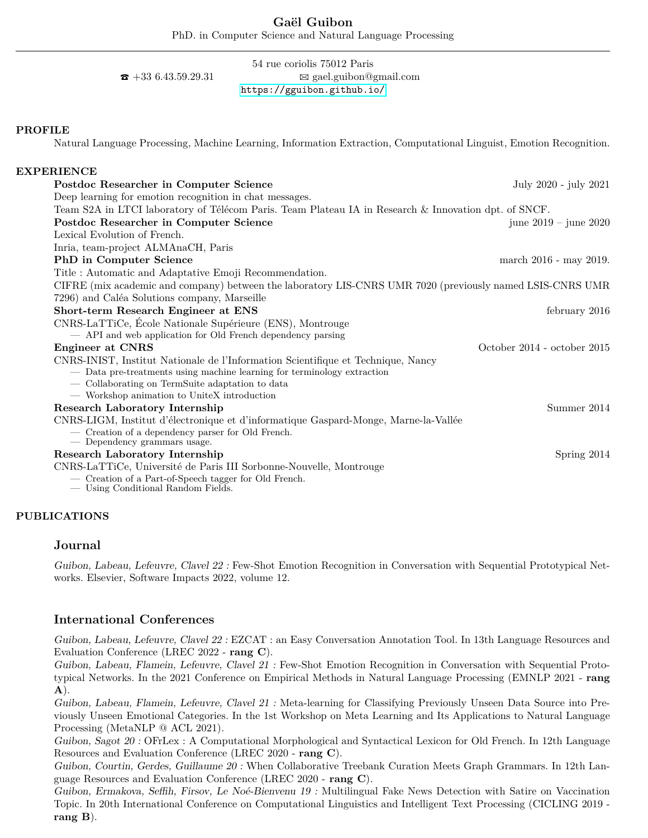PhD. in Computer Science and Natural Language Processing

## 54 rue coriolis 75012 Paris  $\mathbf{\hat{z}}$  +33 6.43.59.29.31  $\boxtimes$  gael.guibon@gmail.com <https://gguibon.github.io/>

## **PROFILE**

Natural Language Processing, Machine Learning, Information Extraction, Computational Linguist, Emotion Recognition.

## **EXPERIENCE Postdoc Researcher in Computer Science** July 2020 - july 2021 - July 2021 - July 2021 Deep learning for emotion recognition in chat messages. Team S2A in LTCI laboratory of Télécom Paris. Team Plateau IA in Research & Innovation dpt. of SNCF. **Postdoc Researcher in Computer Science** june 2019 – june 2020 Lexical Evolution of French. Inria, team-project ALMAnaCH, Paris **PhD in Computer Science** march 2016 - may 2019. Title : Automatic and Adaptative Emoji Recommendation. CIFRE (mix academic and company) between the laboratory LIS-CNRS UMR 7020 (previously named LSIS-CNRS UMR 7296) and Caléa Solutions company, Marseille **Short-term Research Engineer at ENS** february 2016 CNRS-LaTTiCe, École Nationale Supérieure (ENS), Montrouge — API and web application for Old French dependency parsing **Engineer at CNRS** Constants CONRS Constants Constants Constants Constants Constants Constants Constants Constants Constants Constants Constants Constants Constants Constants Constants Constants Constants Constants Constan CNRS-INIST, Institut Nationale de l'Information Scientifique et Technique, Nancy — Data pre-treatments using machine learning for terminology extraction — Collaborating on TermSuite adaptation to data — Workshop animation to UniteX introduction **Research Laboratory Internship** Summer 2014 CNRS-LIGM, Institut d'électronique et d'informatique Gaspard-Monge, Marne-la-Vallée — Creation of a dependency parser for Old French. — Dependency grammars usage. **Research Laboratory Internship** Spring 2014 CNRS-LaTTiCe, Université de Paris III Sorbonne-Nouvelle, Montrouge — Creation of a Part-of-Speech tagger for Old French.

— Using Conditional Random Fields.

## **PUBLICATIONS**

## **Journal**

Guibon, Labeau, Lefeuvre, Clavel 22 : Few-Shot Emotion Recognition in Conversation with Sequential Prototypical Networks. Elsevier, Software Impacts 2022, volume 12.

# **International Conferences**

Guibon, Labeau, Lefeuvre, Clavel 22 : EZCAT : an Easy Conversation Annotation Tool. In 13th Language Resources and Evaluation Conference (LREC 2022 - **rang C**).

Guibon, Labeau, Flamein, Lefeuvre, Clavel 21 : Few-Shot Emotion Recognition in Conversation with Sequential Prototypical Networks. In the 2021 Conference on Empirical Methods in Natural Language Processing (EMNLP 2021 - **rang A**).

Guibon, Labeau, Flamein, Lefeuvre, Clavel 21 : Meta-learning for Classifying Previously Unseen Data Source into Previously Unseen Emotional Categories. In the 1st Workshop on Meta Learning and Its Applications to Natural Language Processing (MetaNLP @ ACL 2021).

Guibon, Sagot 20 : OFrLex : A Computational Morphological and Syntactical Lexicon for Old French. In 12th Language Resources and Evaluation Conference (LREC 2020 - **rang C**).

Guibon, Courtin, Gerdes, Guillaume 20 : When Collaborative Treebank Curation Meets Graph Grammars. In 12th Language Resources and Evaluation Conference (LREC 2020 - **rang C**).

Guibon, Ermakova, Seffih, Firsov, Le Noé-Bienvenu 19 : Multilingual Fake News Detection with Satire on Vaccination Topic. In 20th International Conference on Computational Linguistics and Intelligent Text Processing (CICLING 2019 **rang B**).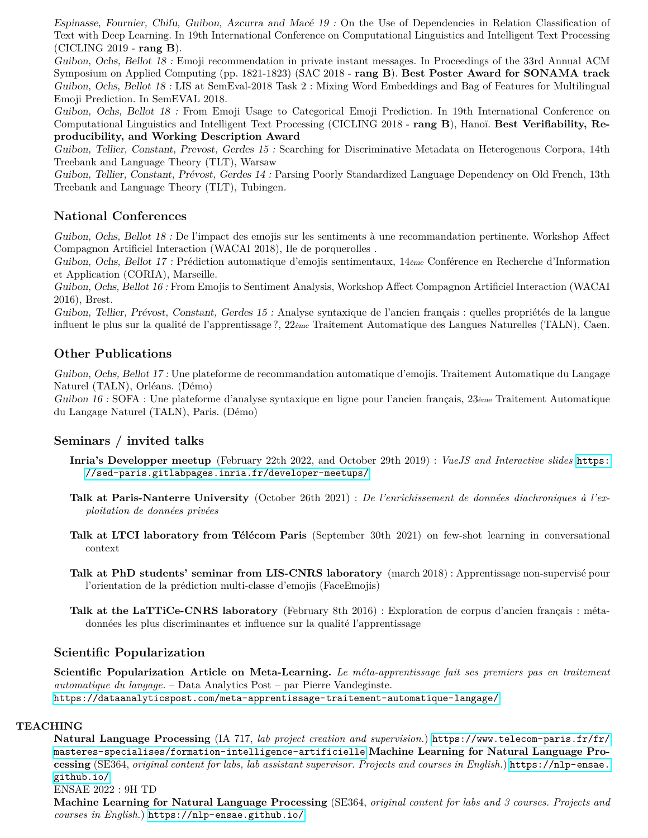Espinasse, Fournier, Chifu, Guibon, Azcurra and Macé 19 : On the Use of Dependencies in Relation Classification of Text with Deep Learning. In 19th International Conference on Computational Linguistics and Intelligent Text Processing (CICLING 2019 - **rang B**).

Guibon, Ochs, Bellot 18 : Emoji recommendation in private instant messages. In Proceedings of the 33rd Annual ACM Symposium on Applied Computing (pp. 1821-1823) (SAC 2018 - **rang B**). **Best Poster Award for SONAMA track** Guibon, Ochs, Bellot 18 : LIS at SemEval-2018 Task 2 : Mixing Word Embeddings and Bag of Features for Multilingual Emoji Prediction. In SemEVAL 2018.

Guibon, Ochs, Bellot 18 : From Emoji Usage to Categorical Emoji Prediction. In 19th International Conference on Computational Linguistics and Intelligent Text Processing (CICLING 2018 - **rang B**), Hanoï. **Best Verifiability, Reproducibility, and Working Description Award**

Guibon, Tellier, Constant, Prevost, Gerdes 15 : Searching for Discriminative Metadata on Heterogenous Corpora, 14th Treebank and Language Theory (TLT), Warsaw

Guibon, Tellier, Constant, Prévost, Gerdes 14 : Parsing Poorly Standardized Language Dependency on Old French, 13th Treebank and Language Theory (TLT), Tubingen.

## **National Conferences**

Guibon, Ochs, Bellot 18 : De l'impact des emojis sur les sentiments à une recommandation pertinente. Workshop Affect Compagnon Artificiel Interaction (WACAI 2018), Ile de porquerolles .

Guibon, Ochs, Bellot 17 : Prédiction automatique d'emojis sentimentaux, 14ème Conférence en Recherche d'Information et Application (CORIA), Marseille.

Guibon, Ochs, Bellot 16 : From Emojis to Sentiment Analysis, Workshop Affect Compagnon Artificiel Interaction (WACAI 2016), Brest.

Guibon, Tellier, Prévost, Constant, Gerdes 15 : Analyse syntaxique de l'ancien français : quelles propriétés de la langue influent le plus sur la qualité de l'apprentissage?, 22ème Traitement Automatique des Langues Naturelles (TALN), Caen.

## **Other Publications**

Guibon, Ochs, Bellot 17 : Une plateforme de recommandation automatique d'emojis. Traitement Automatique du Langage Naturel (TALN), Orléans. (Démo)

Guibon 16 : SOFA : Une plateforme d'analyse syntaxique en ligne pour l'ancien français,  $23$ ème Traitement Automatique du Langage Naturel (TALN), Paris. (Démo)

## **Seminars / invited talks**

- **Inria's Developper meetup** (February 22th 2022, and October 29th 2019) : *VueJS and Interactive slides* [https:](https://sed-paris.gitlabpages.inria.fr/developer-meetups/) [//sed-paris.gitlabpages.inria.fr/developer-meetups/](https://sed-paris.gitlabpages.inria.fr/developer-meetups/)
- **Talk at Paris-Nanterre University** (October 26th 2021) : *De l'enrichissement de données diachroniques à l'exploitation de données privées*
- **Talk at LTCI laboratory from Télécom Paris** (September 30th 2021) on few-shot learning in conversational context
- **Talk at PhD students' seminar from LIS-CNRS laboratory** (march 2018) : Apprentissage non-supervisé pour l'orientation de la prédiction multi-classe d'emojis (FaceEmojis)
- **Talk at the LaTTiCe-CNRS laboratory** (February 8th 2016) : Exploration de corpus d'ancien français : métadonnées les plus discriminantes et influence sur la qualité l'apprentissage

## **Scientific Popularization**

**Scientific Popularization Article on Meta-Learning.** *Le méta-apprentissage fait ses premiers pas en traitement automatique du langage.* – Data Analytics Post – par Pierre Vandeginste. <https://dataanalyticspost.com/meta-apprentissage-traitement-automatique-langage/>

## **TEACHING**

**Natural Language Processing** (IA 717, *lab project creation and supervision.*) [https://www.telecom-paris.fr/fr/](https://www.telecom-paris.fr/fr/masteres-specialises/formation-intelligence-artificielle) [masteres-specialises/formation-intelligence-artificielle](https://www.telecom-paris.fr/fr/masteres-specialises/formation-intelligence-artificielle) **Machine Learning for Natural Language Processing** (SE364, *original content for labs, lab assistant supervisor. Projects and courses in English.*) [https://nlp-ensae.](https://nlp-ensae.github.io/) [github.io/](https://nlp-ensae.github.io/)

ENSAE 2022 : 9H TD

**Machine Learning for Natural Language Processing** (SE364, *original content for labs and 3 courses. Projects and courses in English.*) <https://nlp-ensae.github.io/>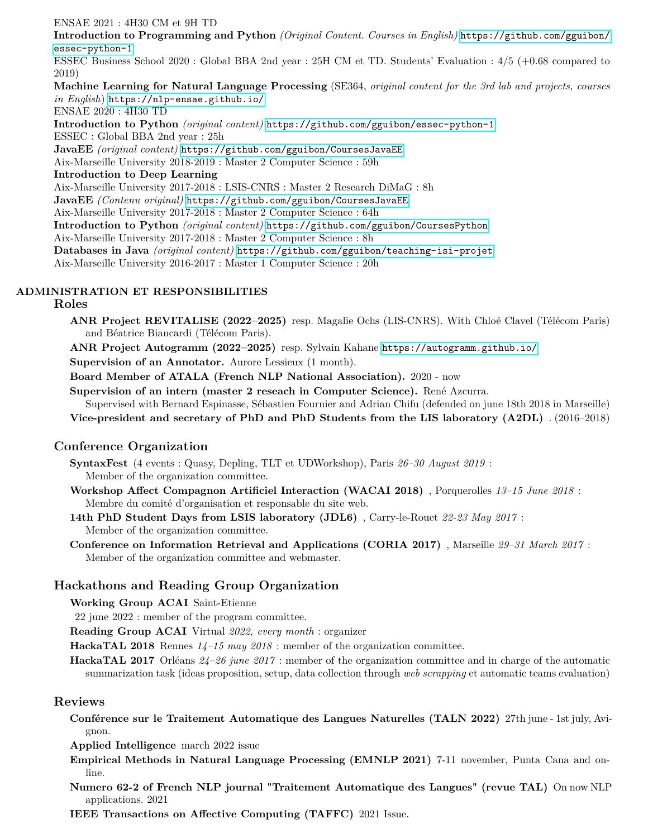ENSAE 2021 : 4H30 CM et 9H TD **Introduction to Programming and Python** *(Original Content. Courses in English)* [https://github.com/gguibon/](https://github.com/gguibon/essec-python-1) [essec-python-1](https://github.com/gguibon/essec-python-1) ESSEC Business School 2020 : Global BBA 2nd year : 25H CM et TD. Students' Evaluation : 4/5 (+0.68 compared to 2019) **Machine Learning for Natural Language Processing** (SE364, *original content for the 3rd lab and projects, courses in English*) <https://nlp-ensae.github.io/> ENSAE 2020 : 4H30 TD **Introduction to Python** *(original content)* <https://github.com/gguibon/essec-python-1> ESSEC : Global BBA 2nd year : 25h **JavaEE** *(original content)* <https://github.com/gguibon/CoursesJavaEE> Aix-Marseille University 2018-2019 : Master 2 Computer Science : 59h **Introduction to Deep Learning** Aix-Marseille University 2017-2018 : LSIS-CNRS : Master 2 Research DiMaG : 8h **JavaEE** *(Contenu original)* <https://github.com/gguibon/CoursesJavaEE> Aix-Marseille University 2017-2018 : Master 2 Computer Science : 64h **Introduction to Python** *(original content)* <https://github.com/gguibon/CoursesPython> Aix-Marseille University 2017-2018 : Master 2 Computer Science : 8h **Databases in Java** *(original content)* <https://github.com/gguibon/teaching-isi-projet> Aix-Marseille University 2016-2017 : Master 1 Computer Science : 20h

## **ADMINISTRATION ET RESPONSIBILITIES**

#### **Roles**

**ANR Project REVITALISE (2022–2025)** resp. Magalie Ochs (LIS-CNRS). With Chloé Clavel (Télécom Paris) and Béatrice Biancardi (Télécom Paris).

**ANR Project Autogramm (2022–2025)** resp. Sylvain Kahane <https://autogramm.github.io/>

**Supervision of an Annotator.** Aurore Lessieux (1 month).

**Board Member of ATALA (French NLP National Association).** 2020 - now

**Supervision of an intern (master 2 reseach in Computer Science).** René Azcurra.

Supervised with Bernard Espinasse, Sébastien Fournier and Adrian Chifu (defended on june 18th 2018 in Marseille)

**Vice-president and secretary of PhD and PhD Students from the LIS laboratory (A2DL)** . (2016–2018)

## **Conference Organization**

**SyntaxFest** (4 events : Quasy, Depling, TLT et UDWorkshop), Paris *26–30 August 2019* : Member of the organization committee.

**Workshop Affect Compagnon Artificiel Interaction (WACAI 2018)** , Porquerolles *13–15 June 2018* : Membre du comité d'organisation et responsable du site web.

**14th PhD Student Days from LSIS laboratory (JDL6)** , Carry-le-Rouet *22-23 May 2017* : Member of the organization committee.

**Conference on Information Retrieval and Applications (CORIA 2017)** , Marseille *29–31 March 2017* : Member of the organization committee and webmaster.

## **Hackathons and Reading Group Organization**

**Working Group ACAI** Saint-Etienne

22 june 2022 : member of the program committee.

**Reading Group ACAI** Virtual *2022, every month* : organizer

**HackaTAL 2018** Rennes *14–15 may 2018* : member of the organization committee.

**HackaTAL 2017** Orléans *24–26 june 2017* : member of the organization committee and in charge of the automatic summarization task (ideas proposition, setup, data collection through *web scrapping* et automatic teams evaluation)

## **Reviews**

**Conférence sur le Traitement Automatique des Langues Naturelles (TALN 2022)** 27th june - 1st july, Avignon.

**Applied Intelligence** march 2022 issue

- **Empirical Methods in Natural Language Processing (EMNLP 2021)** 7-11 november, Punta Cana and online.
- **Numero 62-2 of French NLP journal "Traitement Automatique des Langues" (revue TAL)** On now NLP applications. 2021

**IEEE Transactions on Affective Computing (TAFFC)** 2021 Issue.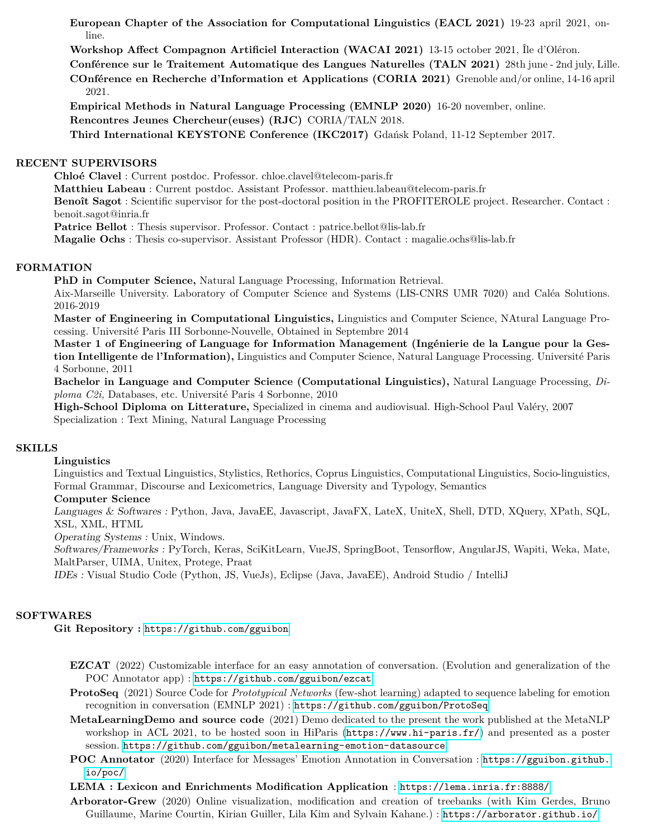**European Chapter of the Association for Computational Linguistics (EACL 2021)** 19-23 april 2021, online.

**Workshop Affect Compagnon Artificiel Interaction (WACAI 2021)** 13-15 october 2021, Île d'Oléron.

**Conférence sur le Traitement Automatique des Langues Naturelles (TALN 2021)** 28th june - 2nd july, Lille.

**COnférence en Recherche d'Information et Applications (CORIA 2021)** Grenoble and/or online, 14-16 april 2021.

**Empirical Methods in Natural Language Processing (EMNLP 2020)** 16-20 november, online. **Rencontres Jeunes Chercheur(euses) (RJC)** CORIA/TALN 2018.

**Third International KEYSTONE Conference (IKC2017)** Gdańsk Poland, 11-12 September 2017.

## **RECENT SUPERVISORS**

**Chloé Clavel** : Current postdoc. Professor. chloe.clavel@telecom-paris.fr

**Matthieu Labeau** : Current postdoc. Assistant Professor. matthieu.labeau@telecom-paris.fr

**Benoît Sagot** : Scientific supervisor for the post-doctoral position in the PROFITEROLE project. Researcher. Contact : benoit.sagot@inria.fr

**Patrice Bellot** : Thesis supervisor. Professor. Contact : patrice.bellot@lis-lab.fr

**Magalie Ochs** : Thesis co-supervisor. Assistant Professor (HDR). Contact : magalie.ochs@lis-lab.fr

## **FORMATION**

**PhD in Computer Science,** Natural Language Processing, Information Retrieval.

Aix-Marseille University. Laboratory of Computer Science and Systems (LIS-CNRS UMR 7020) and Caléa Solutions. 2016-2019

**Master of Engineering in Computational Linguistics,** Linguistics and Computer Science, NAtural Language Processing. Université Paris III Sorbonne-Nouvelle, Obtained in Septembre 2014

**Master 1 of Engineering of Language for Information Management (Ingénierie de la Langue pour la Gestion Intelligente de l'Information),** Linguistics and Computer Science, Natural Language Processing. Université Paris 4 Sorbonne, 2011

**Bachelor in Language and Computer Science (Computational Linguistics),** Natural Language Processing, *Diploma C2i,* Databases, etc. Université Paris 4 Sorbonne, 2010

**High-School Diploma on Litterature,** Specialized in cinema and audiovisual. High-School Paul Valéry, 2007 Specialization : Text Mining, Natural Language Processing

## **SKILLS**

#### **Linguistics**

Linguistics and Textual Linguistics, Stylistics, Rethorics, Coprus Linguistics, Computational Linguistics, Socio-linguistics, Formal Grammar, Discourse and Lexicometrics, Language Diversity and Typology, Semantics

## **Computer Science**

Languages & Softwares : Python, Java, JavaEE, Javascript, JavaFX, LateX, UniteX, Shell, DTD, XQuery, XPath, SQL, XSL, XML, HTML

Operating Systems : Unix, Windows.

Softwares/Frameworks : PyTorch, Keras, SciKitLearn, VueJS, SpringBoot, Tensorflow, AngularJS, Wapiti, Weka, Mate, MaltParser, UIMA, Unitex, Protege, Praat

IDEs : Visual Studio Code (Python, JS, VueJs), Eclipse (Java, JavaEE), Android Studio / IntelliJ

## **SOFTWARES**

**Git Repository :** <https://github.com/gguibon>

- **EZCAT** (2022) Customizable interface for an easy annotation of conversation. (Evolution and generalization of the POC Annotator app) : <https://github.com/gguibon/ezcat>
- **ProtoSeq** (2021) Source Code for *Prototypical Networks* (few-shot learning) adapted to sequence labeling for emotion recognition in conversation (EMNLP 2021) : <https://github.com/gguibon/ProtoSeq>
- **MetaLearningDemo and source code** (2021) Demo dedicated to the present the work published at the MetaNLP workshop in ACL 2021, to be hosted soon in HiParis (<https://www.hi-paris.fr/>) and presented as a poster session. <https://github.com/gguibon/metalearning-emotion-datasource>.
- **POC Annotator** (2020) Interface for Messages' Emotion Annotation in Conversation : [https://gguibon.github.](https://gguibon.github.io/poc/) [io/poc/](https://gguibon.github.io/poc/)
- **LEMA : Lexicon and Enrichments Modification Application** : <https://lema.inria.fr:8888/>
- **Arborator-Grew** (2020) Online visualization, modification and creation of treebanks (with Kim Gerdes, Bruno Guillaume, Marine Courtin, Kirian Guiller, Lila Kim and Sylvain Kahane.) : <https://arborator.github.io/>